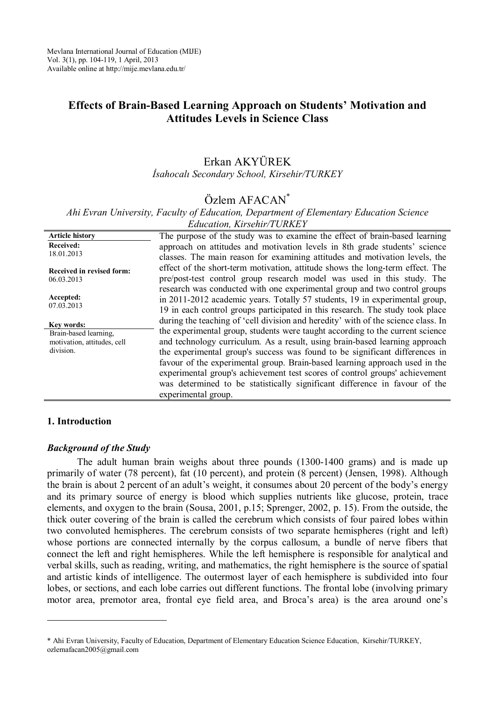# **Effects of Brain-Based Learning Approach on Students' Motivation and Attitudes Levels in Science Class**

### Erkan AKYÜREK *İsahocalı Secondary School, Kirsehir/TURKEY*

# Özlem AFACAN\*

*Ahi Evran University, Faculty of Education, Department of Elementary Education Science Education, Kirsehir/TURKEY*

| <b>Article history</b>           | The purpose of the study was to examine the effect of brain-based learning        |
|----------------------------------|-----------------------------------------------------------------------------------|
| Received:                        | approach on attitudes and motivation levels in 8th grade students' science        |
| 18.01.2013                       | classes. The main reason for examining attitudes and motivation levels, the       |
| <b>Received in revised form:</b> | effect of the short-term motivation, attitude shows the long-term effect. The     |
| 06.03.2013                       | pre/post-test control group research model was used in this study. The            |
|                                  | research was conducted with one experimental group and two control groups         |
| Accepted:                        | in 2011-2012 academic years. Totally 57 students, 19 in experimental group,       |
| 07.03.2013                       | 19 in each control groups participated in this research. The study took place     |
| Kev words:                       | during the teaching of 'cell division and heredity' with of the science class. In |
| Brain-based learning,            | the experimental group, students were taught according to the current science     |
| motivation, attitudes, cell      | and technology curriculum. As a result, using brain-based learning approach       |
| division.                        | the experimental group's success was found to be significant differences in       |
|                                  | favour of the experimental group. Brain-based learning approach used in the       |
|                                  | experimental group's achievement test scores of control groups' achievement       |
|                                  | was determined to be statistically significant difference in favour of the        |
|                                  | experimental group.                                                               |
|                                  |                                                                                   |

#### **1. Introduction**

 $\overline{a}$ 

#### *Background of the Study*

The adult human brain weighs about three pounds (1300-1400 grams) and is made up primarily of water (78 percent), fat (10 percent), and protein (8 percent) (Jensen, 1998). Although the brain is about 2 percent of an adult's weight, it consumes about 20 percent of the body's energy and its primary source of energy is blood which supplies nutrients like glucose, protein, trace elements, and oxygen to the brain (Sousa, 2001, p.15; Sprenger, 2002, p. 15). From the outside, the thick outer covering of the brain is called the cerebrum which consists of four paired lobes within two convoluted hemispheres. The cerebrum consists of two separate hemispheres (right and left) whose portions are connected internally by the corpus callosum, a bundle of nerve fibers that connect the left and right hemispheres. While the left hemisphere is responsible for analytical and verbal skills, such as reading, writing, and mathematics, the right hemisphere is the source of spatial and artistic kinds of intelligence. The outermost layer of each hemisphere is subdivided into four lobes, or sections, and each lobe carries out different functions. The frontal lobe (involving primary motor area, premotor area, frontal eye field area, and Broca's area) is the area around one's

<sup>\*</sup> Ahi Evran University, Faculty of Education, Department of Elementary Education Science Education, Kirsehir/TURKEY, ozlemafacan2005@gmail.com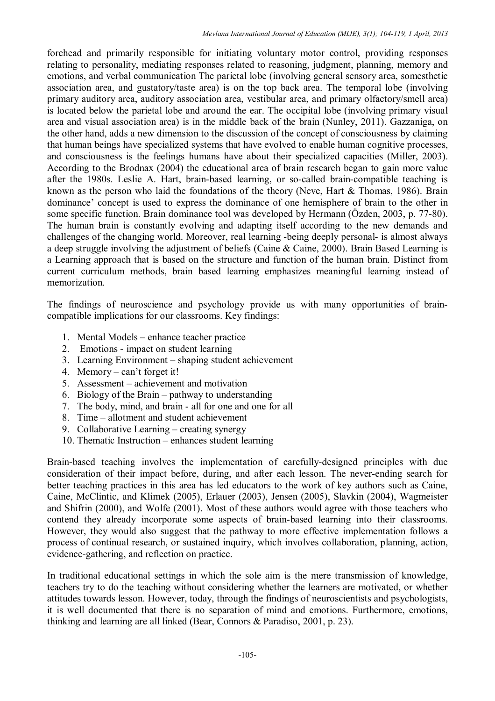forehead and primarily responsible for initiating voluntary motor control, providing responses relating to personality, mediating responses related to reasoning, judgment, planning, memory and emotions, and verbal communication The parietal lobe (involving general sensory area, somesthetic association area, and gustatory/taste area) is on the top back area. The temporal lobe (involving primary auditory area, auditory association area, vestibular area, and primary olfactory/smell area) is located below the parietal lobe and around the ear. The occipital lobe (involving primary visual area and visual association area) is in the middle back of the brain (Nunley, 2011). Gazzaniga, on the other hand, adds a new dimension to the discussion of the concept of consciousness by claiming that human beings have specialized systems that have evolved to enable human cognitive processes, and consciousness is the feelings humans have about their specialized capacities (Miller, 2003). According to the Brodnax (2004) the educational area of brain research began to gain more value after the 1980s. Leslie A. Hart, brain-based learning, or so-called brain-compatible teaching is known as the person who laid the foundations of the theory (Neve, Hart & Thomas, 1986). Brain dominance' concept is used to express the dominance of one hemisphere of brain to the other in some specific function. Brain dominance tool was developed by Hermann (Özden, 2003, p. 77-80). The human brain is constantly evolving and adapting itself according to the new demands and challenges of the changing world. Moreover, real learning -being deeply personal- is almost always a deep struggle involving the adjustment of beliefs (Caine & Caine, 2000). Brain Based Learning is a Learning approach that is based on the structure and function of the human brain. Distinct from current curriculum methods, brain based learning emphasizes meaningful learning instead of memorization.

The findings of neuroscience and psychology provide us with many opportunities of braincompatible implications for our classrooms. Key findings:

- 1. Mental Models enhance teacher practice
- 2. Emotions impact on student learning
- 3. Learning Environment shaping student achievement
- 4. Memory can't forget it!
- 5. Assessment achievement and motivation
- 6. Biology of the Brain pathway to understanding
- 7. The body, mind, and brain all for one and one for all
- 8. Time allotment and student achievement
- 9. Collaborative Learning creating synergy
- 10. Thematic Instruction enhances student learning

Brain-based teaching involves the implementation of carefully-designed principles with due consideration of their impact before, during, and after each lesson. The never-ending search for better teaching practices in this area has led educators to the work of key authors such as Caine, Caine, McClintic, and Klimek (2005), Erlauer (2003), Jensen (2005), Slavkin (2004), Wagmeister and Shifrin (2000), and Wolfe (2001). Most of these authors would agree with those teachers who contend they already incorporate some aspects of brain-based learning into their classrooms. However, they would also suggest that the pathway to more effective implementation follows a process of continual research, or sustained inquiry, which involves collaboration, planning, action, evidence-gathering, and reflection on practice.

In traditional educational settings in which the sole aim is the mere transmission of knowledge, teachers try to do the teaching without considering whether the learners are motivated, or whether attitudes towards lesson. However, today, through the findings of neuroscientists and psychologists, it is well documented that there is no separation of mind and emotions. Furthermore, emotions, thinking and learning are all linked (Bear, Connors & Paradiso, 2001, p. 23).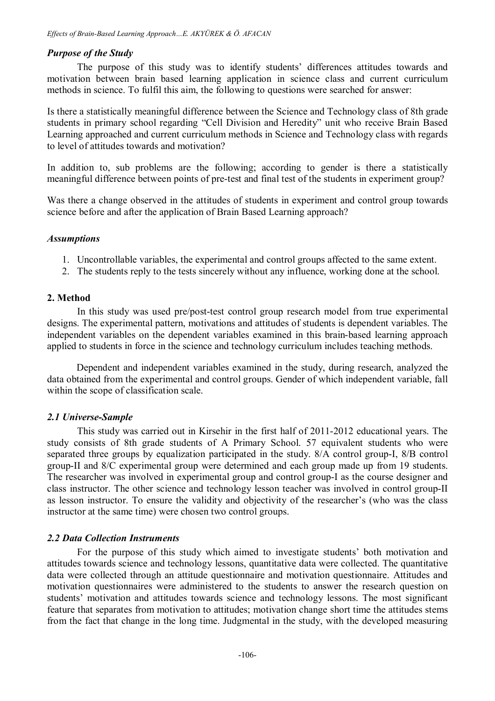### *Purpose of the Study*

The purpose of this study was to identify students' differences attitudes towards and motivation between brain based learning application in science class and current curriculum methods in science. To fulfil this aim, the following to questions were searched for answer:

Is there a statistically meaningful difference between the Science and Technology class of 8th grade students in primary school regarding "Cell Division and Heredity" unit who receive Brain Based Learning approached and current curriculum methods in Science and Technology class with regards to level of attitudes towards and motivation?

In addition to, sub problems are the following; according to gender is there a statistically meaningful difference between points of pre-test and final test of the students in experiment group?

Was there a change observed in the attitudes of students in experiment and control group towards science before and after the application of Brain Based Learning approach?

#### *Assumptions*

- 1. Uncontrollable variables, the experimental and control groups affected to the same extent.
- 2. The students reply to the tests sincerely without any influence, working done at the school.

### **2. Method**

In this study was used pre/post-test control group research model from true experimental designs. The experimental pattern, motivations and attitudes of students is dependent variables. The independent variables on the dependent variables examined in this brain-based learning approach applied to students in force in the science and technology curriculum includes teaching methods.

Dependent and independent variables examined in the study, during research, analyzed the data obtained from the experimental and control groups. Gender of which independent variable, fall within the scope of classification scale.

#### *2.1 Universe-Sample*

This study was carried out in Kirsehir in the first half of 2011-2012 educational years. The study consists of 8th grade students of A Primary School. 57 equivalent students who were separated three groups by equalization participated in the study. 8/A control group-I, 8/B control group-II and 8/C experimental group were determined and each group made up from 19 students. The researcher was involved in experimental group and control group-I as the course designer and class instructor. The other science and technology lesson teacher was involved in control group-II as lesson instructor. To ensure the validity and objectivity of the researcher's (who was the class instructor at the same time) were chosen two control groups.

#### *2.2 Data Collection Instruments*

For the purpose of this study which aimed to investigate students' both motivation and attitudes towards science and technology lessons, quantitative data were collected. The quantitative data were collected through an attitude questionnaire and motivation questionnaire. Attitudes and motivation questionnaires were administered to the students to answer the research question on students' motivation and attitudes towards science and technology lessons. The most significant feature that separates from motivation to attitudes; motivation change short time the attitudes stems from the fact that change in the long time. Judgmental in the study, with the developed measuring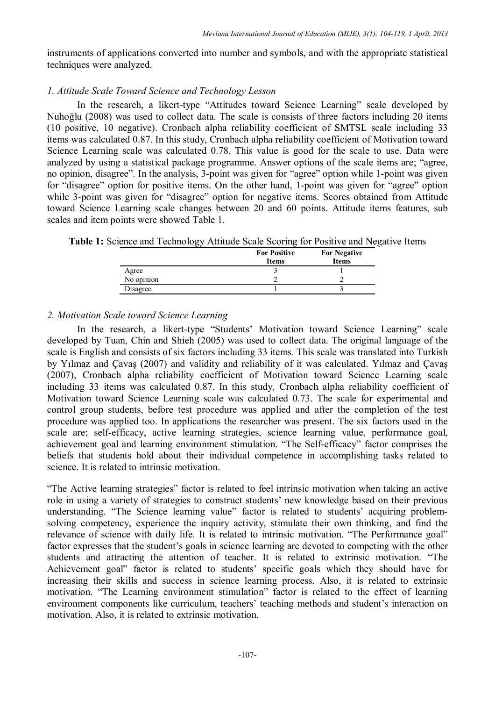instruments of applications converted into number and symbols, and with the appropriate statistical techniques were analyzed.

# *1. Attitude Scale Toward Science and Technology Lesson*

In the research, a likert-type "Attitudes toward Science Learning" scale developed by Nuhoğlu (2008) was used to collect data. The scale is consists of three factors including 20 items (10 positive, 10 negative). Cronbach alpha reliability coefficient of SMTSL scale including 33 items was calculated 0.87. In this study, Cronbach alpha reliability coefficient of Motivation toward Science Learning scale was calculated 0.78. This value is good for the scale to use. Data were analyzed by using a statistical package programme. Answer options of the scale items are; "agree, no opinion, disagree". In the analysis, 3-point was given for "agree" option while 1-point was given for "disagree" option for positive items. On the other hand, 1-point was given for "agree" option while 3-point was given for "disagree" option for negative items. Scores obtained from Attitude toward Science Learning scale changes between 20 and 60 points. Attitude items features, sub scales and item points were showed Table 1.

**Table 1:** Science and Technology Attitude Scale Scoring for Positive and Negative Items

| ັ          | <b>For Positive</b><br><b>Items</b> | <b>For Negative</b><br><b>Items</b> |
|------------|-------------------------------------|-------------------------------------|
| Agree      |                                     |                                     |
| No opinion |                                     |                                     |
| Disagree   |                                     |                                     |

# *2. Motivation Scale toward Science Learning*

In the research, a likert-type "Students' Motivation toward Science Learning" scale developed by Tuan, Chin and Shieh (2005) was used to collect data. The original language of the scale is English and consists of six factors including 33 items. This scale was translated into Turkish by Yılmaz and Çavaş (2007) and validity and reliability of it was calculated. Yılmaz and Çavaş (2007), Cronbach alpha reliability coefficient of Motivation toward Science Learning scale including 33 items was calculated 0.87. In this study, Cronbach alpha reliability coefficient of Motivation toward Science Learning scale was calculated 0.73. The scale for experimental and control group students, before test procedure was applied and after the completion of the test procedure was applied too. In applications the researcher was present. The six factors used in the scale are; self-efficacy, active learning strategies, science learning value, performance goal, achievement goal and learning environment stimulation. "The Self-efficacy" factor comprises the beliefs that students hold about their individual competence in accomplishing tasks related to science. It is related to intrinsic motivation.

"The Active learning strategies" factor is related to feel intrinsic motivation when taking an active role in using a variety of strategies to construct students' new knowledge based on their previous understanding. "The Science learning value" factor is related to students' acquiring problemsolving competency, experience the inquiry activity, stimulate their own thinking, and find the relevance of science with daily life. It is related to intrinsic motivation. "The Performance goal" factor expresses that the student's goals in science learning are devoted to competing with the other students and attracting the attention of teacher. It is related to extrinsic motivation. "The Achievement goal" factor is related to students' specific goals which they should have for increasing their skills and success in science learning process. Also, it is related to extrinsic motivation. "The Learning environment stimulation" factor is related to the effect of learning environment components like curriculum, teachers' teaching methods and student's interaction on motivation. Also, it is related to extrinsic motivation.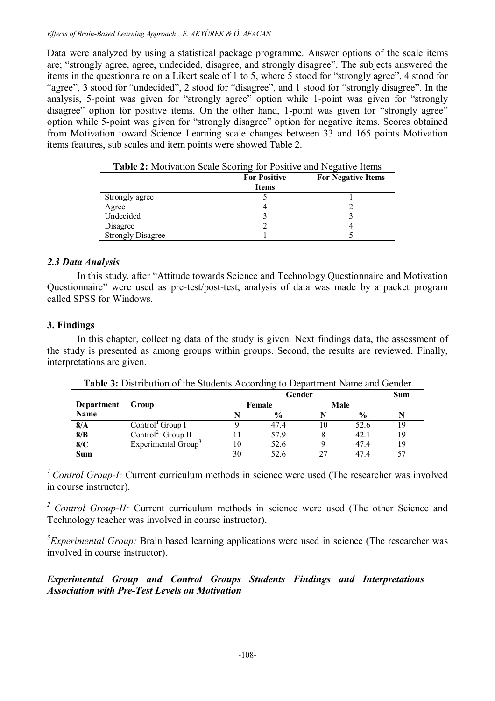#### *Effects of Brain-Based Learning Approach…E. AKYÜREK & Ö. AFACAN*

Data were analyzed by using a statistical package programme. Answer options of the scale items are; "strongly agree, agree, undecided, disagree, and strongly disagree". The subjects answered the items in the questionnaire on a Likert scale of 1 to 5, where 5 stood for "strongly agree", 4 stood for "agree", 3 stood for "undecided", 2 stood for "disagree", and 1 stood for "strongly disagree". In the analysis, 5-point was given for "strongly agree" option while 1-point was given for "strongly disagree" option for positive items. On the other hand, 1-point was given for "strongly agree" option while 5-point was given for "strongly disagree" option for negative items. Scores obtained from Motivation toward Science Learning scale changes between 33 and 165 points Motivation items features, sub scales and item points were showed Table 2.

|                          | <b>For Positive</b><br><b>Items</b> | <b>For Negative Items</b> |
|--------------------------|-------------------------------------|---------------------------|
| Strongly agree           |                                     |                           |
| Agree                    |                                     |                           |
| Undecided                |                                     |                           |
| Disagree                 |                                     |                           |
| <b>Strongly Disagree</b> |                                     |                           |

**Table 2:** Motivation Scale Scoring for Positive and Negative Items

### *2.3 Data Analysis*

In this study, after "Attitude towards Science and Technology Questionnaire and Motivation Questionnaire" were used as pre-test/post-test, analysis of data was made by a packet program called SPSS for Windows.

### **3. Findings**

In this chapter, collecting data of the study is given. Next findings data, the assessment of the study is presented as among groups within groups. Second, the results are reviewed. Finally, interpretations are given.

|            |                                 |        | Sum           |      |               |    |
|------------|---------------------------------|--------|---------------|------|---------------|----|
| Department | Group                           | Female |               | Male |               |    |
| Name       |                                 |        | $\frac{0}{0}$ |      | $\frac{0}{0}$ |    |
| 8/A        | Control <sup>1</sup> Group I    |        | 47.4          | 10   | 52.6          | 19 |
| 8/B        | Control <sup>2</sup> Group II   |        | 57.9          |      | 42.1          | 19 |
| 8/C        | Experimental Group <sup>3</sup> | 10     | 52.6          |      | 47.4          | 19 |
| Sum        |                                 | 30     | 52.6          | 27   | 474           | 57 |

**Table 3:** Distribution of the Students According to Department Name and Gender

<sup>1</sup> Control Group-I: Current curriculum methods in science were used (The researcher was involved in course instructor).

*<sup>2</sup>Control Group-II:* Current curriculum methods in science were used (The other Science and Technology teacher was involved in course instructor).

*3 Experimental Group:* Brain based learning applications were used in science (The researcher was involved in course instructor).

*Experimental Group and Control Groups Students Findings and Interpretations Association with Pre-Test Levels on Motivation*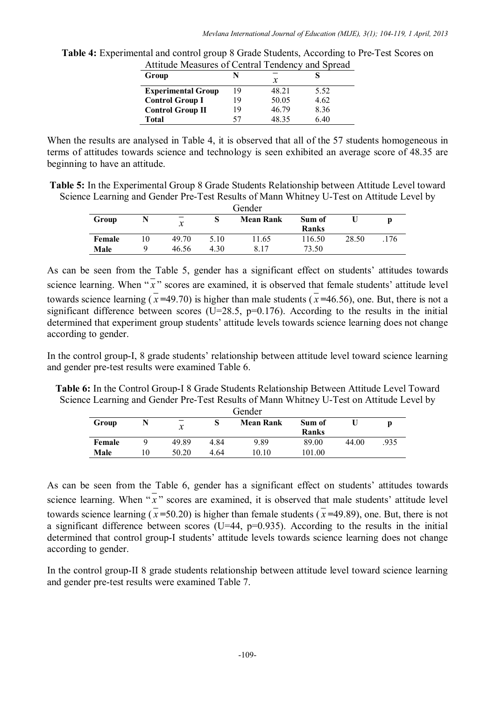| Group<br>х                                       |  |
|--------------------------------------------------|--|
| 48.21<br>5.52<br><b>Experimental Group</b><br>19 |  |
| 50.05<br>4.62<br>19<br><b>Control Group I</b>    |  |
| <b>Control Group II</b><br>8.36<br>46.79<br>19   |  |
| 48 35<br>6.40<br><b>Total</b>                    |  |

**Table 4:** Experimental and control group 8 Grade Students, According to Pre-Test Scores on Attitude Measures of Central Tendency and Spread

When the results are analysed in Table 4, it is observed that all of the 57 students homogeneous in terms of attitudes towards science and technology is seen exhibited an average score of 48.35 are beginning to have an attitude.

**Table 5:** In the Experimental Group 8 Grade Students Relationship between Attitude Level toward Science Learning and Gender Pre-Test Results of Mann Whitney U-Test on Attitude Level by

| Gender |  |               |      |                  |              |       |     |
|--------|--|---------------|------|------------------|--------------|-------|-----|
| Group  |  | $\mathcal{X}$ |      | <b>Mean Rank</b> | Sum of       |       |     |
|        |  |               |      |                  | <b>Ranks</b> |       |     |
| Female |  | 49.70         | 5.10 | 11.65            | 116.50       | 28.50 | 176 |
| Male   |  | 46.56         | 4.30 | 8 1 7            | 73.50        |       |     |

As can be seen from the Table 5, gender has a significant effect on students' attitudes towards science learning. When  $\sqrt[n]{x}$  scores are examined, it is observed that female students' attitude level towards science learning  $(x=49.70)$  is higher than male students  $(x=46.56)$ , one. But, there is not a significant difference between scores (U=28.5,  $p=0.176$ ). According to the results in the initial determined that experiment group students' attitude levels towards science learning does not change according to gender.

In the control group-I, 8 grade students' relationship between attitude level toward science learning and gender pre-test results were examined Table 6.

**Table 6:** In the Control Group-I 8 Grade Students Relationship Between Attitude Level Toward Science Learning and Gender Pre-Test Results of Mann Whitney U-Test on Attitude Level by

| Gender |  |               |      |                  |              |       |      |
|--------|--|---------------|------|------------------|--------------|-------|------|
| Group  |  | $\mathcal{X}$ | O    | <b>Mean Rank</b> | Sum of       |       |      |
|        |  |               |      |                  | <b>Ranks</b> |       |      |
| Female |  | 49.89         | 4.84 | 9.89             | 89.00        | 44.00 | .935 |
| Male   |  | 50.20         | 4 64 | 10.10            | 101.00       |       |      |

As can be seen from the Table 6, gender has a significant effect on students' attitudes towards science learning. When  $\sqrt[n]{x}$  scores are examined, it is observed that male students' attitude level towards science learning  $(x=50.20)$  is higher than female students  $(x=49.89)$ , one. But, there is not a significant difference between scores (U=44,  $p=0.935$ ). According to the results in the initial determined that control group-I students' attitude levels towards science learning does not change according to gender.

In the control group-II 8 grade students relationship between attitude level toward science learning and gender pre-test results were examined Table 7.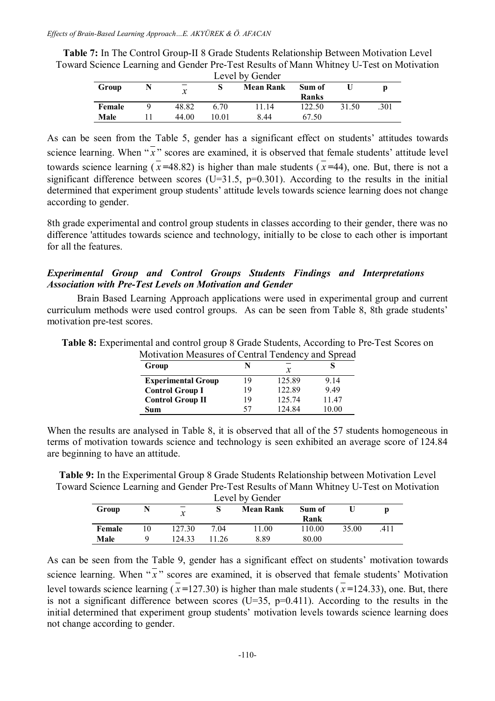| <b>Table 7:</b> In The Control Group-II 8 Grade Students Relationship Between Motivation Level |
|------------------------------------------------------------------------------------------------|
| Toward Science Learning and Gender Pre-Test Results of Mann Whitney U-Test on Motivation       |
| Lavel by Gander                                                                                |

| <b>LEVELUX</b> ACTINCT |  |               |       |                  |                        |       |      |  |
|------------------------|--|---------------|-------|------------------|------------------------|-------|------|--|
| Group                  |  | $\mathcal{X}$ |       | <b>Mean Rank</b> | Sum of<br><b>Ranks</b> |       |      |  |
| Female                 |  | 48.82         | 6.70  | 11.14            | 122.50                 | 31.50 | .301 |  |
| Male                   |  | 44.00         | 10 01 | 8 44             | 67.50                  |       |      |  |

As can be seen from the Table 5, gender has a significant effect on students' attitudes towards science learning. When  $\overline{x}$  scores are examined, it is observed that female students' attitude level towards science learning ( $\bar{x}$ =48.82) is higher than male students ( $\bar{x}$ =44), one. But, there is not a significant difference between scores  $(U=31.5, p=0.301)$ . According to the results in the initial determined that experiment group students' attitude levels towards science learning does not change according to gender.

8th grade experimental and control group students in classes according to their gender, there was no difference 'attitudes towards science and technology, initially to be close to each other is important for all the features.

# *Experimental Group and Control Groups Students Findings and Interpretations Association with Pre-Test Levels on Motivation and Gender*

Brain Based Learning Approach applications were used in experimental group and current curriculum methods were used control groups. As can be seen from Table 8, 8th grade students' motivation pre-test scores.

| <u>MULLER MULLER OF CULTURE FUNCTION AND SPICAL</u> |    |        |       |
|-----------------------------------------------------|----|--------|-------|
| Group                                               |    | x      |       |
| <b>Experimental Group</b>                           | 19 | 125.89 | 9 14  |
| <b>Control Group I</b>                              | 19 | 122.89 | 949   |
| <b>Control Group II</b>                             | 19 | 125.74 | 1147  |
| Sum                                                 | 57 | 124 84 | 10.00 |

**Table 8:** Experimental and control group 8 Grade Students, According to Pre-Test Scores on Motivation Measures of Central Tendency and Spread

When the results are analysed in Table 8, it is observed that all of the 57 students homogeneous in terms of motivation towards science and technology is seen exhibited an average score of 124.84 are beginning to have an attitude.

**Table 9:** In the Experimental Group 8 Grade Students Relationship between Motivation Level Toward Science Learning and Gender Pre-Test Results of Mann Whitney U-Test on Motivation Level by  $C$ 

| Level by Gender |    |                  |       |                  |        |       |      |  |  |
|-----------------|----|------------------|-------|------------------|--------|-------|------|--|--|
| Group           |    | $\boldsymbol{x}$ |       | <b>Mean Rank</b> | Sum of |       |      |  |  |
|                 |    |                  |       |                  | Rank   |       |      |  |  |
| Female          | 10 | 127.30           | 7.04  | 11.00            | 110.00 | 35.00 | .411 |  |  |
| Male            |    | 124.33           | 11 26 | 889              | 80.00  |       |      |  |  |

As can be seen from the Table 9, gender has a significant effect on students' motivation towards science learning. When  $\sqrt{x}$  scores are examined, it is observed that female students' Motivation level towards science learning ( $\bar{x}$ =127.30) is higher than male students ( $\bar{x}$ =124.33), one. But, there is not a significant difference between scores (U=35,  $p=0.411$ ). According to the results in the initial determined that experiment group students' motivation levels towards science learning does not change according to gender.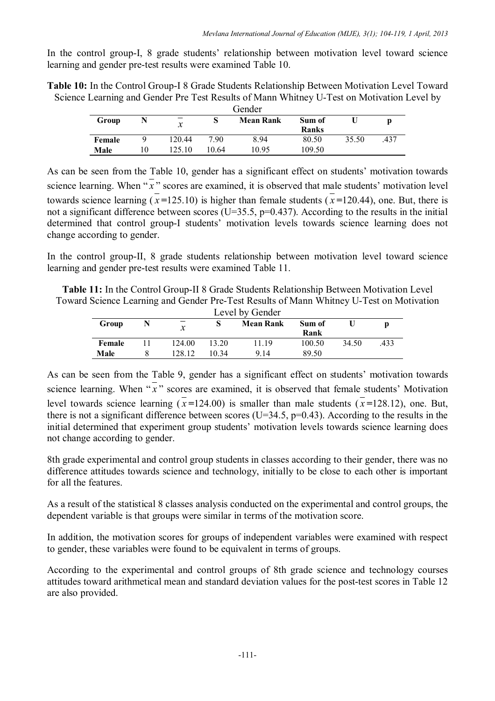In the control group-I, 8 grade students' relationship between motivation level toward science learning and gender pre-test results were examined Table 10.

**Table 10:** In the Control Group-I 8 Grade Students Relationship Between Motivation Level Toward Science Learning and Gender Pre Test Results of Mann Whitney U-Test on Motivation Level by

| Gender |    |               |       |                  |              |       |      |
|--------|----|---------------|-------|------------------|--------------|-------|------|
| Group  |    | $\mathcal{X}$ |       | <b>Mean Rank</b> | Sum of       |       |      |
|        |    |               |       |                  | <b>Ranks</b> |       |      |
| Female |    | 120.44        | 790   | 8.94             | 80.50        | 35.50 | .437 |
| Male   | 10 | 125.10        | 10.64 | 10.95            | 109.50       |       |      |

As can be seen from the Table 10, gender has a significant effect on students' motivation towards science learning. When  $\overline{\overline{x}}$  " scores are examined, it is observed that male students' motivation level towards science learning  $(\bar{x} = 125.10)$  is higher than female students  $(\bar{x} = 120.44)$ , one. But, there is not a significant difference between scores (U=35.5, p=0.437). According to the results in the initial determined that control group-I students' motivation levels towards science learning does not change according to gender.

In the control group-II, 8 grade students relationship between motivation level toward science learning and gender pre-test results were examined Table 11.

**Table 11:** In the Control Group-II 8 Grade Students Relationship Between Motivation Level Toward Science Learning and Gender Pre-Test Results of Mann Whitney U-Test on Motivation

| Level by Gender |  |                  |       |                  |        |       |     |  |  |
|-----------------|--|------------------|-------|------------------|--------|-------|-----|--|--|
| Group           |  | $\boldsymbol{x}$ |       | <b>Mean Rank</b> | Sum of |       |     |  |  |
|                 |  |                  |       |                  | Rank   |       |     |  |  |
| Female          |  | 124.00           | 13.20 | 11.19            | 100.50 | 34.50 | 433 |  |  |
| Male            |  | 128.12           | 10 34 | 9 14             | 89.50  |       |     |  |  |

As can be seen from the Table 9, gender has a significant effect on students' motivation towards science learning. When  $\sqrt{x}$  scores are examined, it is observed that female students' Motivation level towards science learning  $(\bar{x}=124.00)$  is smaller than male students  $(\bar{x}=128.12)$ , one. But, there is not a significant difference between scores (U=34.5,  $p=0.43$ ). According to the results in the initial determined that experiment group students' motivation levels towards science learning does not change according to gender.

8th grade experimental and control group students in classes according to their gender, there was no difference attitudes towards science and technology, initially to be close to each other is important for all the features.

As a result of the statistical 8 classes analysis conducted on the experimental and control groups, the dependent variable is that groups were similar in terms of the motivation score.

In addition, the motivation scores for groups of independent variables were examined with respect to gender, these variables were found to be equivalent in terms of groups.

According to the experimental and control groups of 8th grade science and technology courses attitudes toward arithmetical mean and standard deviation values for the post-test scores in Table 12 are also provided.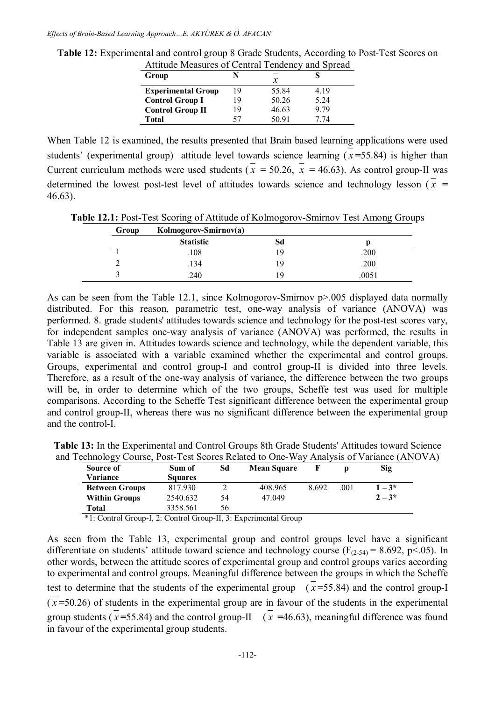|    | x     |                                                 |
|----|-------|-------------------------------------------------|
| 19 | 55.84 | 4.19                                            |
| 19 | 50.26 | 5.24                                            |
| 19 | 46.63 | 979                                             |
| 57 | 50.91 | 7 74                                            |
|    |       | Tunique Measures of Central Tendency and Spread |

**Table 12:** Experimental and control group 8 Grade Students, According to Post-Test Scores on Attitude Measures of Central Tendency and Spread

When Table 12 is examined, the results presented that Brain based learning applications were used students' (experimental group) attitude level towards science learning  $(\bar{x} = 55.84)$  is higher than Current curriculum methods were used students  $(\bar{x} = 50.26, \bar{x} = 46.63)$ . As control group-II was determined the lowest post-test level of attitudes towards science and technology lesson ( $\bar{x}$  = 46.63).

**Table 12.1:** Post-Test Scoring of Attitude of Kolmogorov-Smirnov Test Among Groups

| Group | Kolmogorov-Smirnov(a) |    |       |
|-------|-----------------------|----|-------|
|       | <b>Statistic</b>      | Sd |       |
|       | .108                  | 9  | .200  |
|       | .134                  | 9  | .200  |
|       | 240                   | -9 | .0051 |

As can be seen from the Table 12.1, since Kolmogorov-Smirnov p>.005 displayed data normally distributed. For this reason, parametric test, one-way analysis of variance (ANOVA) was performed. 8. grade students' attitudes towards science and technology for the post-test scores vary, for independent samples one-way analysis of variance (ANOVA) was performed, the results in Table 13 are given in. Attitudes towards science and technology, while the dependent variable, this variable is associated with a variable examined whether the experimental and control groups. Groups, experimental and control group-I and control group-II is divided into three levels. Therefore, as a result of the one-way analysis of variance, the difference between the two groups will be, in order to determine which of the two groups, Scheffe test was used for multiple comparisons. According to the Scheffe Test significant difference between the experimental group and control group-II, whereas there was no significant difference between the experimental group and the control-I.

**Table 13:** In the Experimental and Control Groups 8th Grade Students' Attitudes toward Science and Technology Course, Post-Test Scores Related to One-Way Analysis of Variance (ANOVA)

| Source of<br><b>Variance</b> | Sum of<br><b>Squares</b> | Sd | <b>Mean Square</b> |       |      | Sig       |
|------------------------------|--------------------------|----|--------------------|-------|------|-----------|
| <b>Between Groups</b>        | 817.930                  |    | 408.965            | 8.692 | .001 | $1 - 3^*$ |
| <b>Within Groups</b>         | 2540.632                 | 54 | 47.049             |       |      | $2 - 3*$  |
| Total                        | 3358.561                 | 56 |                    |       |      |           |

\*1: Control Group-I, 2: Control Group-II, 3: Experimental Group

As seen from the Table 13, experimental group and control groups level have a significant differentiate on students' attitude toward science and technology course ( $F_{(2-54)} = 8.692$ , p<.05). In other words, between the attitude scores of experimental group and control groups varies according to experimental and control groups. Meaningful difference between the groups in which the Scheffe test to determine that the students of the experimental group  $(\bar{x} = 55.84)$  and the control group-I  $(\bar{x}$ =50.26) of students in the experimental group are in favour of the students in the experimental group students ( $\bar{x}$ =55.84) and the control group-II ( $\bar{x}$  =46.63), meaningful difference was found in favour of the experimental group students.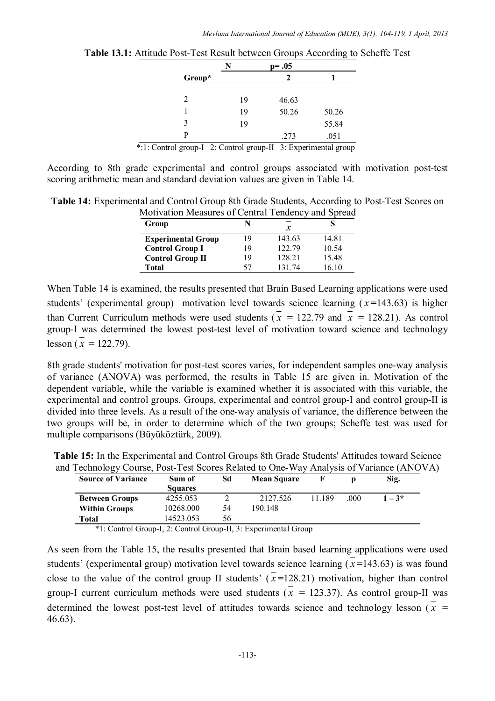|                                                                  | N  | $p = .05$ |       |
|------------------------------------------------------------------|----|-----------|-------|
| Group*                                                           |    | 2         |       |
|                                                                  |    |           |       |
| 2                                                                | 19 | 46.63     |       |
|                                                                  | 19 | 50.26     | 50.26 |
| 3                                                                | 19 |           | 55.84 |
| P                                                                |    | .273      | .051  |
| $k.1.$ Control open I. O. Control open II. 2. Experimental opens |    |           |       |

**Table 13.1:** Attitude Post-Test Result between Groups According to Scheffe Test

\*:1: Control group-I 2: Control group-II 3: Experimental group

According to 8th grade experimental and control groups associated with motivation post-test scoring arithmetic mean and standard deviation values are given in Table 14.

**Table 14:** Experimental and Control Group 8th Grade Students, According to Post-Test Scores on Motivation Measures of Central Tendency and Spread

| Group                     |    | x      |       |
|---------------------------|----|--------|-------|
| <b>Experimental Group</b> | 19 | 143.63 | 14.81 |
| <b>Control Group I</b>    | 19 | 122.79 | 10.54 |
| <b>Control Group II</b>   | 19 | 128 21 | 1548  |
| <b>Total</b>              | 57 | 13174  | 16 10 |

When Table 14 is examined, the results presented that Brain Based Learning applications were used students' (experimental group) motivation level towards science learning  $(\bar{x}$ =143.63) is higher than Current Curriculum methods were used students ( $\overline{x}$  = 122.79 and  $\overline{x}$  = 128.21). As control group-I was determined the lowest post-test level of motivation toward science and technology lesson  $(\bar{x} = 122.79)$ .

8th grade students' motivation for post-test scores varies, for independent samples one-way analysis of variance (ANOVA) was performed, the results in Table 15 are given in. Motivation of the dependent variable, while the variable is examined whether it is associated with this variable, the experimental and control groups. Groups, experimental and control group-I and control group-II is divided into three levels. As a result of the one-way analysis of variance, the difference between the two groups will be, in order to determine which of the two groups; Scheffe test was used for multiple comparisons (Büyüköztürk, 2009).

| <b>Source of Variance</b> | Sum of         | Sd | <b>Mean Square</b> |        |     | Sig.     |
|---------------------------|----------------|----|--------------------|--------|-----|----------|
|                           | <b>Squares</b> |    |                    |        |     |          |
| <b>Between Groups</b>     | 4255.053       |    | 2127.526           | 11 189 | 000 | $1 - 3*$ |
| <b>Within Groups</b>      | 10268.000      | 54 | 190 148            |        |     |          |
| Total                     | 14523.053      | 56 |                    |        |     |          |

**Table 15:** In the Experimental and Control Groups 8th Grade Students' Attitudes toward Science and Technology Course, Post-Test Scores Related to One-Way Analysis of Variance (ANOVA)

\*1: Control Group-I, 2: Control Group-II, 3: Experimental Group

As seen from the Table 15, the results presented that Brain based learning applications were used students' (experimental group) motivation level towards science learning  $(x=143.63)$  is was found close to the value of the control group II students'  $(x=128.21)$  motivation, higher than control group-I current curriculum methods were used students ( $\bar{x}$  = 123.37). As control group-II was determined the lowest post-test level of attitudes towards science and technology lesson  $\overline{x}$  = 46.63).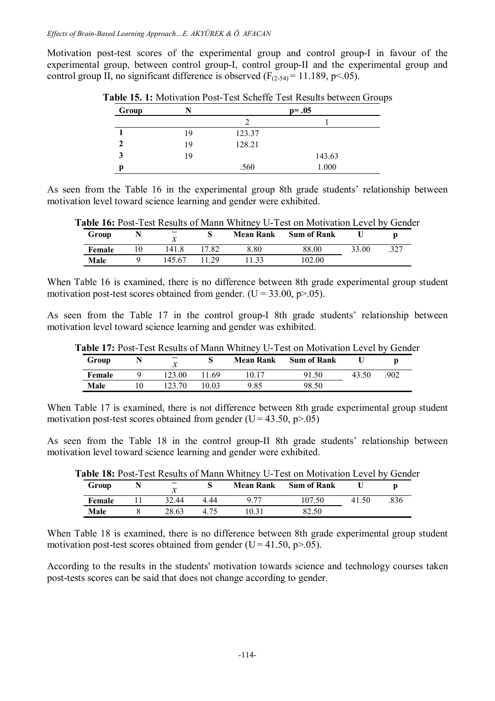Motivation post-test scores of the experimental group and control group-I in favour of the experimental group, between control group-I, control group-II and the experimental group and control group II, no significant difference is observed  $(F<sub>(2-54)</sub> = 11.189, p<.05)$ .

| Group |    |        | $p = .05$ |
|-------|----|--------|-----------|
|       |    |        |           |
|       | 19 | 123.37 |           |
|       | 19 | 128.21 |           |
|       | 19 |        | 143.63    |
| Ŋ     |    | .560   | 1.000     |

**Table 15. 1:** Motivation Post-Test Scheffe Test Results between Groups

As seen from the Table 16 in the experimental group 8th grade students' relationship between motivation level toward science learning and gender were exhibited.

**Table 16:** Post-Test Results of Mann Whitney U-Test on Motivation Level by Gender

| Group  | v<br>$\boldsymbol{\mathcal{N}}$ |       | <b>Mean Rank</b> | <b>Sum of Rank</b> |       |      |
|--------|---------------------------------|-------|------------------|--------------------|-------|------|
| Female | 141.8                           | 17.82 | 8.80             | 88.00              | 33.00 | .327 |
| Male   | 145.67                          | 29    | .33              | 102.00             |       |      |

When Table 16 is examined, there is no difference between 8th grade experimental group student motivation post-test scores obtained from gender. (U =  $33.00$ , p $> 0.05$ ).

As seen from the Table 17 in the control group-I 8th grade students' relationship between motivation level toward science learning and gender was exhibited.

| Group  | ≁<br>л | N     | <b>Mean Rank</b> | <b>Sum of Rank</b> |       |     |
|--------|--------|-------|------------------|--------------------|-------|-----|
| Female | 123.00 | 69    |                  | /1.50              | 43.50 | 902 |
| Male   | 123.70 | 10.03 | 9.85             | 98.50              |       |     |

When Table 17 is examined, there is not difference between 8th grade experimental group student motivation post-test scores obtained from gender (U =  $43.50$ , p $> 0.05$ )

As seen from the Table 18 in the control group-II 8th grade students' relationship between motivation level toward science learning and gender were exhibited.

|        |       |      |                  | <b>LADIC TO.</b> I OSC-T CST INCSUITS OF IVIDITIT WHITHING OF LOST ON INTOITVALION LOVED BY CICING |       |     |
|--------|-------|------|------------------|----------------------------------------------------------------------------------------------------|-------|-----|
| Group  |       |      | <b>Mean Rank</b> | <b>Sum of Rank</b>                                                                                 |       |     |
| Female | 32.44 | 444  |                  | 107.50                                                                                             | 41.50 | 836 |
| Male   | 28.63 | 4.75 | 10 31            | 82.50                                                                                              |       |     |

**Table 18:** Post-Test Results of Mann Whitney U-Test on Motivation Level by Gender

When Table 18 is examined, there is no difference between 8th grade experimental group student motivation post-test scores obtained from gender (U = 41.50, p $> 0.05$ ).

According to the results in the students' motivation towards science and technology courses taken post-tests scores can be said that does not change according to gender.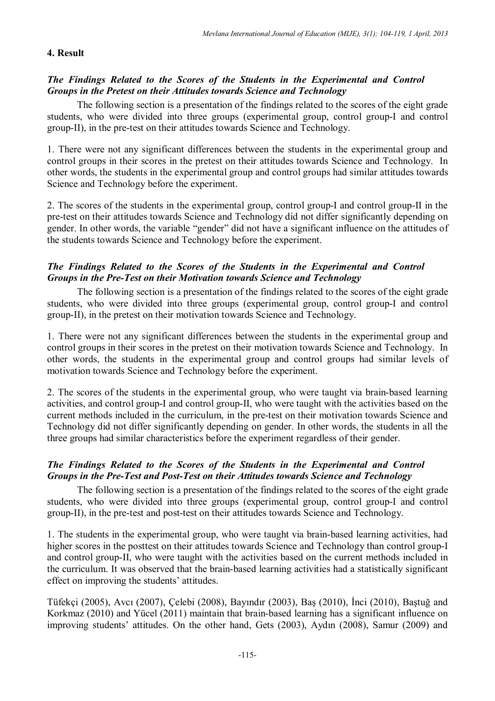### **4. Result**

### *The Findings Related to the Scores of the Students in the Experimental and Control Groups in the Pretest on their Attitudes towards Science and Technology*

The following section is a presentation of the findings related to the scores of the eight grade students, who were divided into three groups (experimental group, control group-I and control group-II), in the pre-test on their attitudes towards Science and Technology.

1. There were not any significant differences between the students in the experimental group and control groups in their scores in the pretest on their attitudes towards Science and Technology. In other words, the students in the experimental group and control groups had similar attitudes towards Science and Technology before the experiment.

2. The scores of the students in the experimental group, control group-I and control group-II in the pre-test on their attitudes towards Science and Technology did not differ significantly depending on gender. In other words, the variable "gender" did not have a significant influence on the attitudes of the students towards Science and Technology before the experiment.

### *The Findings Related to the Scores of the Students in the Experimental and Control Groups in the Pre-Test on their Motivation towards Science and Technology*

The following section is a presentation of the findings related to the scores of the eight grade students, who were divided into three groups (experimental group, control group-I and control group-II), in the pretest on their motivation towards Science and Technology.

1. There were not any significant differences between the students in the experimental group and control groups in their scores in the pretest on their motivation towards Science and Technology. In other words, the students in the experimental group and control groups had similar levels of motivation towards Science and Technology before the experiment.

2. The scores of the students in the experimental group, who were taught via brain-based learning activities, and control group-I and control group-II, who were taught with the activities based on the current methods included in the curriculum, in the pre-test on their motivation towards Science and Technology did not differ significantly depending on gender. In other words, the students in all the three groups had similar characteristics before the experiment regardless of their gender.

# *The Findings Related to the Scores of the Students in the Experimental and Control Groups in the Pre-Test and Post-Test on their Attitudes towards Science and Technology*

The following section is a presentation of the findings related to the scores of the eight grade students, who were divided into three groups (experimental group, control group-I and control group-II), in the pre-test and post-test on their attitudes towards Science and Technology.

1. The students in the experimental group, who were taught via brain-based learning activities, had higher scores in the posttest on their attitudes towards Science and Technology than control group-I and control group-II, who were taught with the activities based on the current methods included in the curriculum. It was observed that the brain-based learning activities had a statistically significant effect on improving the students' attitudes.

Tüfekçi (2005), Avcı (2007), Çelebi (2008), Bayındır (2003), Baş (2010), İnci (2010), Baştuğ and Korkmaz (2010) and Yücel (2011) maintain that brain-based learning has a significant influence on improving students' attitudes. On the other hand, Gets (2003), Aydın (2008), Samur (2009) and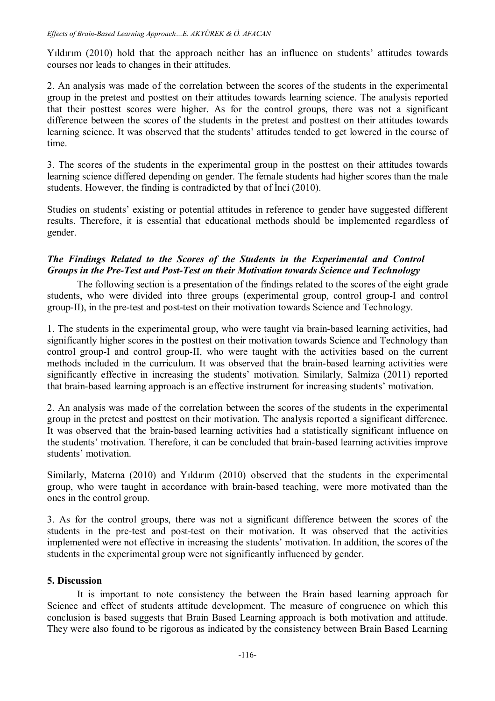Yıldırım (2010) hold that the approach neither has an influence on students' attitudes towards courses nor leads to changes in their attitudes.

2. An analysis was made of the correlation between the scores of the students in the experimental group in the pretest and posttest on their attitudes towards learning science. The analysis reported that their posttest scores were higher. As for the control groups, there was not a significant difference between the scores of the students in the pretest and posttest on their attitudes towards learning science. It was observed that the students' attitudes tended to get lowered in the course of time.

3. The scores of the students in the experimental group in the posttest on their attitudes towards learning science differed depending on gender. The female students had higher scores than the male students. However, the finding is contradicted by that of İnci (2010).

Studies on students' existing or potential attitudes in reference to gender have suggested different results. Therefore, it is essential that educational methods should be implemented regardless of gender.

# *The Findings Related to the Scores of the Students in the Experimental and Control Groups in the Pre-Test and Post-Test on their Motivation towards Science and Technology*

The following section is a presentation of the findings related to the scores of the eight grade students, who were divided into three groups (experimental group, control group-I and control group-II), in the pre-test and post-test on their motivation towards Science and Technology.

1. The students in the experimental group, who were taught via brain-based learning activities, had significantly higher scores in the posttest on their motivation towards Science and Technology than control group-I and control group-II, who were taught with the activities based on the current methods included in the curriculum. It was observed that the brain-based learning activities were significantly effective in increasing the students' motivation. Similarly, Salmiza (2011) reported that brain-based learning approach is an effective instrument for increasing students' motivation.

2. An analysis was made of the correlation between the scores of the students in the experimental group in the pretest and posttest on their motivation. The analysis reported a significant difference. It was observed that the brain-based learning activities had a statistically significant influence on the students' motivation. Therefore, it can be concluded that brain-based learning activities improve students' motivation.

Similarly, Materna (2010) and Yıldırım (2010) observed that the students in the experimental group, who were taught in accordance with brain-based teaching, were more motivated than the ones in the control group.

3. As for the control groups, there was not a significant difference between the scores of the students in the pre-test and post-test on their motivation. It was observed that the activities implemented were not effective in increasing the students' motivation. In addition, the scores of the students in the experimental group were not significantly influenced by gender.

# **5. Discussion**

It is important to note consistency the between the Brain based learning approach for Science and effect of students attitude development. The measure of congruence on which this conclusion is based suggests that Brain Based Learning approach is both motivation and attitude. They were also found to be rigorous as indicated by the consistency between Brain Based Learning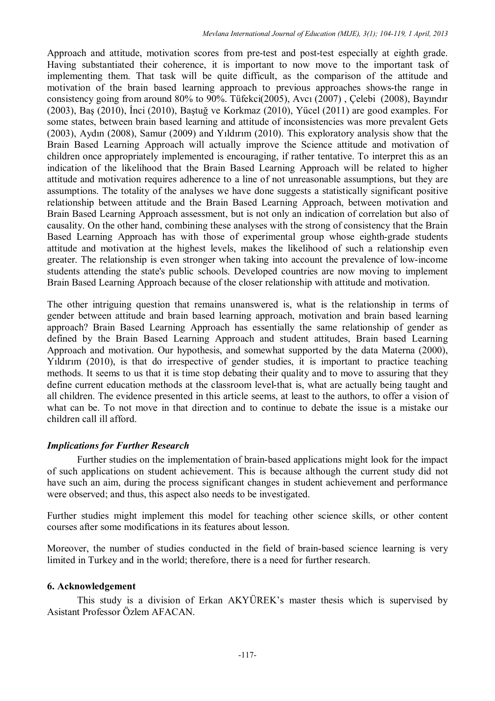Approach and attitude, motivation scores from pre-test and post-test especially at eighth grade. Having substantiated their coherence, it is important to now move to the important task of implementing them. That task will be quite difficult, as the comparison of the attitude and motivation of the brain based learning approach to previous approaches shows-the range in consistency going from around 80% to 90%. Tüfekci(2005), Avcı (2007) , Çelebi (2008), Bayındır (2003), Baş (2010), İnci (2010), Baştuğ ve Korkmaz (2010), Yücel (2011) are good examples. For some states, between brain based learning and attitude of inconsistencies was more prevalent Gets (2003), Aydın (2008), Samur (2009) and Yıldırım (2010). This exploratory analysis show that the Brain Based Learning Approach will actually improve the Science attitude and motivation of children once appropriately implemented is encouraging, if rather tentative. To interpret this as an indication of the likelihood that the Brain Based Learning Approach will be related to higher attitude and motivation requires adherence to a line of not unreasonable assumptions, but they are assumptions. The totality of the analyses we have done suggests a statistically significant positive relationship between attitude and the Brain Based Learning Approach, between motivation and Brain Based Learning Approach assessment, but is not only an indication of correlation but also of causality. On the other hand, combining these analyses with the strong of consistency that the Brain Based Learning Approach has with those of experimental group whose eighth-grade students attitude and motivation at the highest levels, makes the likelihood of such a relationship even greater. The relationship is even stronger when taking into account the prevalence of low-income students attending the state's public schools. Developed countries are now moving to implement Brain Based Learning Approach because of the closer relationship with attitude and motivation.

The other intriguing question that remains unanswered is, what is the relationship in terms of gender between attitude and brain based learning approach, motivation and brain based learning approach? Brain Based Learning Approach has essentially the same relationship of gender as defined by the Brain Based Learning Approach and student attitudes, Brain based Learning Approach and motivation. Our hypothesis, and somewhat supported by the data Materna (2000), Yıldırım (2010), is that do irrespective of gender studies, it is important to practice teaching methods. It seems to us that it is time stop debating their quality and to move to assuring that they define current education methods at the classroom level-that is, what are actually being taught and all children. The evidence presented in this article seems, at least to the authors, to offer a vision of what can be. To not move in that direction and to continue to debate the issue is a mistake our children call ill afford.

# *Implications for Further Research*

Further studies on the implementation of brain-based applications might look for the impact of such applications on student achievement. This is because although the current study did not have such an aim, during the process significant changes in student achievement and performance were observed; and thus, this aspect also needs to be investigated.

Further studies might implement this model for teaching other science skills, or other content courses after some modifications in its features about lesson.

Moreover, the number of studies conducted in the field of brain-based science learning is very limited in Turkey and in the world; therefore, there is a need for further research.

# **6. Acknowledgement**

This study is a division of Erkan AKYÜREK's master thesis which is supervised by Asistant Professor Özlem AFACAN.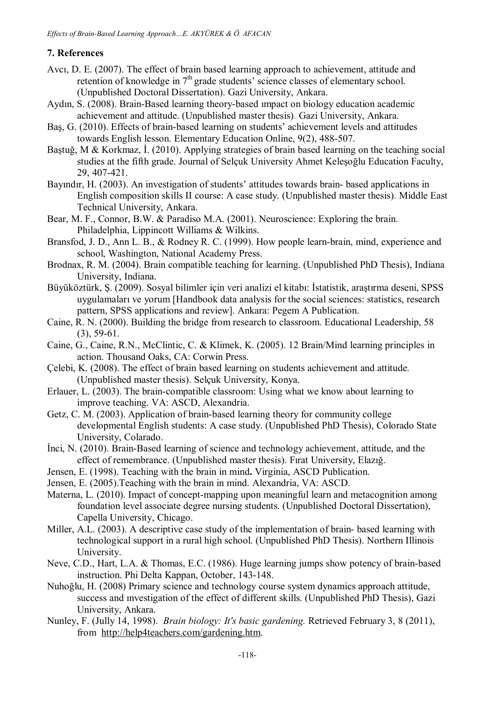# **7. References**

- Avcı, D. E. (2007). The effect of brain based learning approach to achievement, attitude and retention of knowledge in  $7<sup>th</sup>$  grade students' science classes of elementary school. (Unpublished Doctoral Dissertation). Gazi University, Ankara.
- Aydın, S. (2008). Brain-Based learning theory-based ımpact on biology education academic achievement and attitude. (Unpublished master thesis). Gazi University, Ankara.
- Baş, G. (2010). Effects of brain-based learning on students' achievement levels and attitudes towards English lesson. Elementary Education Online, 9(2), 488-507.
- Baştuğ, M & Korkmaz, İ. (2010). Applying strategies of brain based learning on the teaching social studies at the fifth grade. Journal of Selçuk University Ahmet Keleşoğlu Education Faculty, 29, 407-421.
- Bayındır, H. (2003). An investigation of students' attitudes towards brain- based applications in English composition skills II course: A case study. (Unpublished master thesis). Middle East Technical University, Ankara.
- Bear, M. F., Connor, B.W. & Paradiso M.A. (2001). Neuroscience: Exploring the brain. Philadelphia, Lippincott Williams & Wilkins.
- Bransfod, J. D., Ann L. B., & Rodney R. C. (1999). How people learn-brain, mind, experience and school, Washington, National Academy Press.
- Brodnax, R. M. (2004). Brain compatible teaching for learning. (Unpublished PhD Thesis), Indiana University, Indiana.
- Büyüköztürk, Ş. (2009). Sosyal bilimler için veri analizi el kitabı: İstatistik, araştırma deseni, SPSS uygulamaları ve yorum [Handbook data analysis for the social sciences: statistics, research pattern, SPSS applications and review]. Ankara: Pegem A Publication.
- Caine, R. N. (2000). Building the bridge from research to classroom. Educational Leadership, 58  $(3)$ , 59-61.
- Caine, G., Caine, R.N., McClintic, C. & Klimek, K. (2005). 12 Brain/Mind learning principles in action. Thousand Oaks, CA: Corwin Press.
- Çelebi, K. (2008). The effect of brain based learning on students achievement and attitude. (Unpublished master thesis). Selçuk University, Konya.
- Erlauer, L. (2003). The brain-compatible classroom: Using what we know about learning to improve teaching. VA: ASCD, Alexandria.
- Getz, C. M. (2003). Application of brain-based learning theory for community college developmental English students: A case study. (Unpublished PhD Thesis), Colorado State University, Colarado.
- İnci, N. (2010). Brain-Based learning of science and technology achievement, attitude, and the effect of remembrance. (Unpublished master thesis). Fırat University, Elazığ.
- Jensen, E. (1998). Teaching with the brain in mind**.** Virginia, ASCD Publication.
- Jensen, E. (2005).Teaching with the brain in mind. Alexandria, VA: ASCD.
- Materna, L. (2010). Impact of concept-mapping upon meaningful learn and metacognition among foundation level associate degree nursing students. (Unpublished Doctoral Dissertation), Capella University, Chicago.
- Miller, A.L. (2003). A descriptive case study of the implementation of brain- based learning with technological support in a rural high school. (Unpublished PhD Thesis). Northern Illinois University.
- Neve, C.D., Hart, L.A. & Thomas, E.C. (1986). Huge learning jumps show potency of brain-based instruction. Phi Delta Kappan, October, 143-148.
- Nuhoğlu, H. (2008) Primary science and technology course system dynamics approach attitude, success and ınvestigation of the effect of different skills. (Unpublished PhD Thesis), Gazi University, Ankara.
- Nunley, F. (Jully 14, 1998). *Brain biology: It's basic gardening.* Retrieved February 3, 8 (2011), from http://help4teachers.com/gardening.htm.